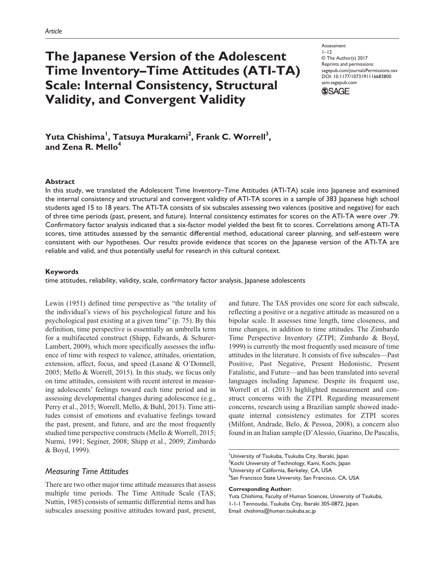# **The Japanese Version of the Adolescent Time Inventory–Time Attitudes (ATI-TA) Scale: Internal Consistency, Structural Validity, and Convergent Validity**

**Assessment**  $I-I2$ © The Author(s) 2017 Reprints and permissions: sagepub.com/journalsPermissions.nav DOI: 10.1177/1073191116683800 asm.sagepub.com

**SSAGE** 

# Yuta Chishima<sup>l</sup>, Tatsuya Murakami<sup>2</sup>, Frank C. Worrell<sup>3</sup>, and Zena R. Mello<sup>4</sup>

#### **Abstract**

In this study, we translated the Adolescent Time Inventory–Time Attitudes (ATI-TA) scale into Japanese and examined the internal consistency and structural and convergent validity of ATI-TA scores in a sample of 383 Japanese high school students aged 15 to 18 years. The ATI-TA consists of six subscales assessing two valences (positive and negative) for each of three time periods (past, present, and future). Internal consistency estimates for scores on the ATI-TA were over .79. Confirmatory factor analysis indicated that a six-factor model yielded the best fit to scores. Correlations among ATI-TA scores, time attitudes assessed by the semantic differential method, educational career planning, and self-esteem were consistent with our hypotheses. Our results provide evidence that scores on the Japanese version of the ATI-TA are reliable and valid, and thus potentially useful for research in this cultural context.

#### **Keywords**

time attitudes, reliability, validity, scale, confirmatory factor analysis, Japanese adolescents

Lewin (1951) defined time perspective as "the totality of the individual's views of his psychological future and his psychological past existing at a given time" (p. 75). By this definition, time perspective is essentially an umbrella term for a multifaceted construct (Shipp, Edwards, & Schurer-Lambert, 2009), which more specifically assesses the influence of time with respect to valence, attitudes, orientation, extension, affect, focus, and speed (Lasane & O'Donnell, 2005; Mello & Worrell, 2015). In this study, we focus only on time attitudes, consistent with recent interest in measuring adolescents' feelings toward each time period and in assessing developmental changes during adolescence (e.g., Perry et al., 2015; Worrell, Mello, & Buhl, 2013). Time attitudes consist of emotions and evaluative feelings toward the past, present, and future, and are the most frequently studied time perspective constructs (Mello & Worrell, 2015; Nurmi, 1991; Seginer, 2008; Shipp et al., 2009; Zimbardo & Boyd, 1999).

# *Measuring Time Attitudes*

There are two other major time attitude measures that assess multiple time periods. The Time Attitude Scale (TAS; Nuttin, 1985) consists of semantic differential items and has subscales assessing positive attitudes toward past, present, and future. The TAS provides one score for each subscale, reflecting a positive or a negative attitude as measured on a bipolar scale. It assesses time length, time closeness, and time changes, in addition to time attitudes. The Zimbardo Time Perspective Inventory (ZTPI; Zimbardo & Boyd, 1999) is currently the most frequently used measure of time attitudes in the literature. It consists of five subscales—Past Positive, Past Negative, Present Hedonistic, Present Fatalistic, and Future—and has been translated into several languages including Japanese. Despite its frequent use, Worrell et al. (2013) highlighted measurement and construct concerns with the ZTPI. Regarding measurement concerns, research using a Brazilian sample showed inadequate internal consistency estimates for ZTPI scores (Milfont, Andrade, Belo, & Pessoa, 2008), a concern also found in an Italian sample (D'Alessio, Guarino, De Pascalis,

<sup>1</sup>University of Tsukuba, Tsukuba City, Ibaraki, Japan  $^{2}$ Kochi University of Technology, Kami, Kochi, Japan <sup>3</sup>University of California, Berkeley, CA, USA 4 San Francisco State University, San Francisco, CA, USA

### **Corresponding Author:**

Yuta Chishima, Faculty of Human Sciences, University of Tsukuba, 1-1-1 Tennoudai, Tsukuba City, Ibaraki 305-0872, Japan. Email: [chishima@human.tsukuba.ac.jp](mailto:chishima@human.tsukuba.ac.jp)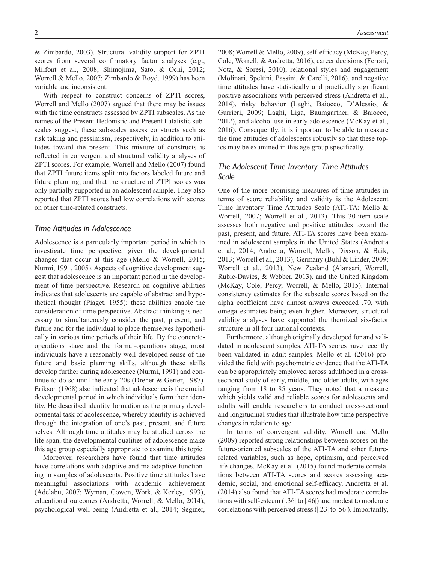& Zimbardo, 2003). Structural validity support for ZPTI scores from several confirmatory factor analyses (e.g., Milfont et al., 2008; Shimojima, Sato, & Ochi, 2012; Worrell & Mello, 2007; Zimbardo & Boyd, 1999) has been variable and inconsistent.

With respect to construct concerns of ZPTI scores, Worrell and Mello (2007) argued that there may be issues with the time constructs assessed by ZPTI subscales. As the names of the Present Hedonistic and Present Fatalistic subscales suggest, these subscales assess constructs such as risk taking and pessimism, respectively, in addition to attitudes toward the present. This mixture of constructs is reflected in convergent and structural validity analyses of ZPTI scores. For example, Worrell and Mello (2007) found that ZPTI future items split into factors labeled future and future planning, and that the structure of ZTPI scores was only partially supported in an adolescent sample. They also reported that ZPTI scores had low correlations with scores on other time-related constructs.

#### *Time Attitudes in Adolescence*

Adolescence is a particularly important period in which to investigate time perspective, given the developmental changes that occur at this age (Mello & Worrell, 2015; Nurmi, 1991, 2005). Aspects of cognitive development suggest that adolescence is an important period in the development of time perspective. Research on cognitive abilities indicates that adolescents are capable of abstract and hypothetical thought (Piaget, 1955); these abilities enable the consideration of time perspective. Abstract thinking is necessary to simultaneously consider the past, present, and future and for the individual to place themselves hypothetically in various time periods of their life. By the concreteoperations stage and the formal-operations stage, most individuals have a reasonably well-developed sense of the future and basic planning skills, although these skills develop further during adolescence (Nurmi, 1991) and continue to do so until the early 20s (Dreher & Gerter, 1987). Erikson (1968) also indicated that adolescence is the crucial developmental period in which individuals form their identity. He described identity formation as the primary developmental task of adolescence, whereby identity is achieved through the integration of one's past, present, and future selves. Although time attitudes may be studied across the life span, the developmental qualities of adolescence make this age group especially appropriate to examine this topic.

Moreover, researchers have found that time attitudes have correlations with adaptive and maladaptive functioning in samples of adolescents. Positive time attitudes have meaningful associations with academic achievement (Adelabu, 2007; Wyman, Cowen, Work, & Kerley, 1993), educational outcomes (Andretta, Worrell, & Mello, 2014), psychological well-being (Andretta et al., 2014; Seginer,

2008; Worrell & Mello, 2009), self-efficacy (McKay, Percy, Cole, Worrell, & Andretta, 2016), career decisions (Ferrari, Nota, & Soresi, 2010), relational styles and engagement (Molinari, Speltini, Passini, & Carelli, 2016), and negative time attitudes have statistically and practically significant positive associations with perceived stress (Andretta et al., 2014), risky behavior (Laghi, Baiocco, D'Alessio, & Gurrieri, 2009; Laghi, Liga, Baumgartner, & Baiocco, 2012), and alcohol use in early adolescence (McKay et al., 2016). Consequently, it is important to be able to measure the time attitudes of adolescents robustly so that these topics may be examined in this age group specifically.

# *The Adolescent Time Inventory–Time Attitudes Scale*

One of the more promising measures of time attitudes in terms of score reliability and validity is the Adolescent Time Inventory–Time Attitudes Scale (ATI-TA; Mello & Worrell, 2007; Worrell et al., 2013). This 30-item scale assesses both negative and positive attitudes toward the past, present, and future. ATI-TA scores have been examined in adolescent samples in the United States (Andretta et al., 2014; Andretta, Worrell, Mello, Dixson, & Baik, 2013; Worrell et al., 2013), Germany (Buhl & Linder, 2009; Worrell et al., 2013), New Zealand (Alansari, Worrell, Rubie-Davies, & Webber, 2013), and the United Kingdom (McKay, Cole, Percy, Worrell, & Mello, 2015). Internal consistency estimates for the subscale scores based on the alpha coefficient have almost always exceeded .70, with omega estimates being even higher. Moreover, structural validity analyses have supported the theorized six-factor structure in all four national contexts.

Furthermore, although originally developed for and validated in adolescent samples, ATI-TA scores have recently been validated in adult samples. Mello et al. (2016) provided the field with psychometric evidence that the ATI-TA can be appropriately employed across adulthood in a crosssectional study of early, middle, and older adults, with ages ranging from 18 to 85 years. They noted that a measure which yields valid and reliable scores for adolescents and adults will enable researchers to conduct cross-sectional and longitudinal studies that illustrate how time perspective changes in relation to age.

In terms of convergent validity, Worrell and Mello (2009) reported strong relationships between scores on the future-oriented subscales of the ATI-TA and other futurerelated variables, such as hope, optimism, and perceived life changes. McKay et al. (2015) found moderate correlations between ATI-TA scores and scores assessing academic, social, and emotional self-efficacy. Andretta et al. (2014) also found that ATI-TA scores had moderate correlations with self-esteem (|.36| to |.46|) and modest to moderate correlations with perceived stress (|.23| to |56|). Importantly,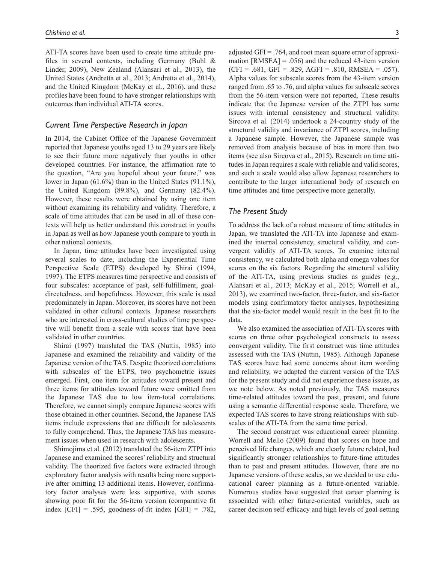ATI-TA scores have been used to create time attitude profiles in several contexts, including Germany (Buhl & Linder, 2009), New Zealand (Alansari et al., 2013), the United States (Andretta et al., 2013; Andretta et al., 2014), and the United Kingdom (McKay et al., 2016), and these profiles have been found to have stronger relationships with outcomes than individual ATI-TA scores.

# *Current Time Perspective Research in Japan*

In 2014, the Cabinet Office of the Japanese Government reported that Japanese youths aged 13 to 29 years are likely to see their future more negatively than youths in other developed countries. For instance, the affirmation rate to the question, "Are you hopeful about your future," was lower in Japan (61.6%) than in the United States (91.1%), the United Kingdom (89.8%), and Germany (82.4%). However, these results were obtained by using one item without examining its reliability and validity. Therefore, a scale of time attitudes that can be used in all of these contexts will help us better understand this construct in youths in Japan as well as how Japanese youth compare to youth in other national contexts.

In Japan, time attitudes have been investigated using several scales to date, including the Experiential Time Perspective Scale (ETPS) developed by Shirai (1994, 1997). The ETPS measures time perspective and consists of four subscales: acceptance of past, self-fulfillment, goaldirectedness, and hopefulness. However, this scale is used predominately in Japan. Moreover, its scores have not been validated in other cultural contexts. Japanese researchers who are interested in cross-cultural studies of time perspective will benefit from a scale with scores that have been validated in other countries.

Shirai (1997) translated the TAS (Nuttin, 1985) into Japanese and examined the reliability and validity of the Japanese version of the TAS. Despite theorized correlations with subscales of the ETPS, two psychometric issues emerged. First, one item for attitudes toward present and three items for attitudes toward future were omitted from the Japanese TAS due to low item-total correlations. Therefore, we cannot simply compare Japanese scores with those obtained in other countries. Second, the Japanese TAS items include expressions that are difficult for adolescents to fully comprehend. Thus, the Japanese TAS has measurement issues when used in research with adolescents.

Shimojima et al. (2012) translated the 56-item ZTPI into Japanese and examined the scores' reliability and structural validity. The theorized five factors were extracted through exploratory factor analysis with results being more supportive after omitting 13 additional items. However, confirmatory factor analyses were less supportive, with scores showing poor fit for the 56-item version (comparative fit index  $[CFI] = .595$ , goodness-of-fit index  $[GFI] = .782$ ,

mation  $[RMSEA] = .056$ ) and the reduced 43-item version  $(CFI = .681, GFI = .829, AGFI = .810, RMSEA = .057$ . Alpha values for subscale scores from the 43-item version ranged from .65 to .76, and alpha values for subscale scores from the 56-item version were not reported. These results indicate that the Japanese version of the ZTPI has some issues with internal consistency and structural validity. Sircova et al. (2014) undertook a 24-country study of the structural validity and invariance of ZTPI scores, including a Japanese sample. However, the Japanese sample was removed from analysis because of bias in more than two items (see also Sircova et al., 2015). Research on time attitudes in Japan requires a scale with reliable and valid scores, and such a scale would also allow Japanese researchers to contribute to the larger international body of research on time attitudes and time perspective more generally.

# *The Present Study*

To address the lack of a robust measure of time attitudes in Japan, we translated the ATI-TA into Japanese and examined the internal consistency, structural validity, and convergent validity of ATI-TA scores. To examine internal consistency, we calculated both alpha and omega values for scores on the six factors. Regarding the structural validity of the ATI-TA, using previous studies as guides (e.g., Alansari et al., 2013; McKay et al., 2015; Worrell et al., 2013), we examined two-factor, three-factor, and six-factor models using confirmatory factor analyses, hypothesizing that the six-factor model would result in the best fit to the data.

We also examined the association of ATI-TA scores with scores on three other psychological constructs to assess convergent validity. The first construct was time attitudes assessed with the TAS (Nuttin, 1985). Although Japanese TAS scores have had some concerns about item wording and reliability, we adapted the current version of the TAS for the present study and did not experience these issues, as we note below. As noted previously, the TAS measures time-related attitudes toward the past, present, and future using a semantic differential response scale. Therefore, we expected TAS scores to have strong relationships with subscales of the ATI-TA from the same time period.

The second construct was educational career planning. Worrell and Mello (2009) found that scores on hope and perceived life changes, which are clearly future related, had significantly stronger relationships to future-time attitudes than to past and present attitudes. However, there are no Japanese versions of these scales, so we decided to use educational career planning as a future-oriented variable. Numerous studies have suggested that career planning is associated with other future-oriented variables, such as career decision self-efficacy and high levels of goal-setting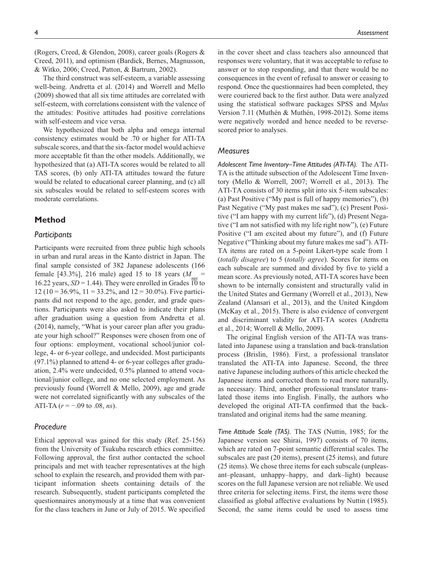(Rogers, Creed, & Glendon, 2008), career goals (Rogers & Creed, 2011), and optimism (Bardick, Bernes, Magnusson, & Witko, 2006; Creed, Patton, & Bartrum, 2002).

The third construct was self-esteem, a variable assessing well-being. Andretta et al. (2014) and Worrell and Mello (2009) showed that all six time attitudes are correlated with self-esteem, with correlations consistent with the valence of the attitudes: Positive attitudes had positive correlations with self-esteem and vice versa.

We hypothesized that both alpha and omega internal consistency estimates would be .70 or higher for ATI-TA subscale scores, and that the six-factor model would achieve more acceptable fit than the other models. Additionally, we hypothesized that (a) ATI-TA scores would be related to all TAS scores, (b) only ATI-TA attitudes toward the future would be related to educational career planning, and (c) all six subscales would be related to self-esteem scores with moderate correlations.

# **Method**

#### *Participants*

Participants were recruited from three public high schools in urban and rural areas in the Kanto district in Japan. The final sample consisted of 382 Japanese adolescents (166 female [43.3%], 216 male) aged 15 to 18 years  $(M_{\text{max}} =$ 16.22 years,  $SD = 1.44$ ). They were enrolled in Grades 10 to 12 (10 = 36.9%, 11 = 33.2%, and 12 = 30.0%). Five participants did not respond to the age, gender, and grade questions. Participants were also asked to indicate their plans after graduation using a question from Andretta et al. (2014), namely, "What is your career plan after you graduate your high school?" Responses were chosen from one of four options: employment, vocational school/junior college, 4- or 6-year college, and undecided. Most participants (97.1%) planned to attend 4- or 6-year colleges after graduation, 2.4% were undecided, 0.5% planned to attend vocational/junior college, and no one selected employment. As previously found (Worrell & Mello, 2009), age and grade were not correlated significantly with any subscales of the ATI-TA (*r* = −.09 to .08, *ns*).

# *Procedure*

Ethical approval was gained for this study (Ref. 25-156) from the University of Tsukuba research ethics committee. Following approval, the first author contacted the school principals and met with teacher representatives at the high school to explain the research, and provided them with participant information sheets containing details of the research. Subsequently, student participants completed the questionnaires anonymously at a time that was convenient for the class teachers in June or July of 2015. We specified in the cover sheet and class teachers also announced that responses were voluntary, that it was acceptable to refuse to answer or to stop responding, and that there would be no consequences in the event of refusal to answer or ceasing to respond. Once the questionnaires had been completed, they were couriered back to the first author. Data were analyzed using the statistical software packages SPSS and M*plus* Version 7.11 (Muthén & Muthén, 1998-2012). Some items were negatively worded and hence needed to be reversescored prior to analyses.

#### *Measures*

*Adolescent Time Inventory–Time Attitudes (ATI-TA).* The ATI-TA is the attitude subsection of the Adolescent Time Inventory (Mello & Worrell, 2007; Worrell et al., 2013). The ATI-TA consists of 30 items split into six 5-item subscales: (a) Past Positive ("My past is full of happy memories"), (b) Past Negative ("My past makes me sad"), (c) Present Positive ("I am happy with my current life"), (d) Present Negative ("I am not satisfied with my life right now"), (e) Future Positive ("I am excited about my future"), and (f) Future Negative ("Thinking about my future makes me sad"). ATI-TA items are rated on a 5-point Likert-type scale from 1 (*totally disagree*) to 5 (*totally agree*). Scores for items on each subscale are summed and divided by five to yield a mean score. As previously noted, ATI-TA scores have been shown to be internally consistent and structurally valid in the United States and Germany (Worrell et al., 2013), New Zealand (Alansari et al., 2013), and the United Kingdom (McKay et al., 2015). There is also evidence of convergent and discriminant validity for ATI-TA scores (Andretta et al., 2014; Worrell & Mello, 2009).

The original English version of the ATI-TA was translated into Japanese using a translation and back-translation process (Brislin, 1986). First, a professional translator translated the ATI-TA into Japanese. Second, the three native Japanese including authors of this article checked the Japanese items and corrected them to read more naturally, as necessary. Third, another professional translator translated those items into English. Finally, the authors who developed the original ATI-TA confirmed that the backtranslated and original items had the same meaning.

*Time Attitude Scale (TAS).* The TAS (Nuttin, 1985; for the Japanese version see Shirai, 1997) consists of 70 items, which are rated on 7-point semantic differential scales. The subscales are past (20 items), present (25 items), and future (25 items). We chose three items for each subscale (unpleasant–pleasant, unhappy–happy, and dark–light) because scores on the full Japanese version are not reliable. We used three criteria for selecting items. First, the items were those classified as global affective evaluations by Nuttin (1985). Second, the same items could be used to assess time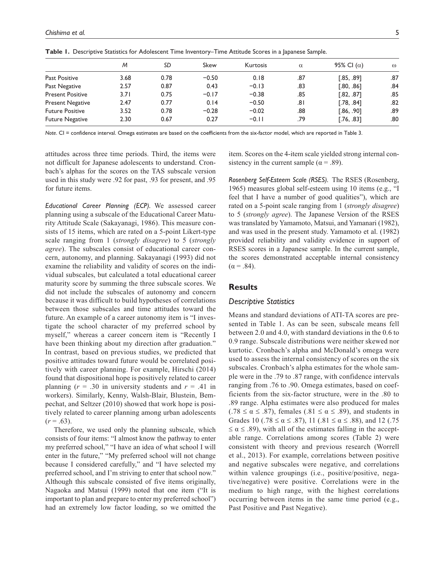|                         | M    | SD   | Skew    | Kurtosis | $\alpha$ | 95% CI $(\alpha)$ | $\omega$ |
|-------------------------|------|------|---------|----------|----------|-------------------|----------|
| <b>Past Positive</b>    | 3.68 | 0.78 | $-0.50$ | 0.18     | .87      | [.85, .89]        | .87      |
| Past Negative           | 2.57 | 0.87 | 0.43    | $-0.13$  | .83      | [.80, .86]        | .84      |
| <b>Present Positive</b> | 3.71 | 0.75 | $-0.17$ | $-0.38$  | .85      | [.82, .87]        | .85      |
| <b>Present Negative</b> | 2.47 | 0.77 | 0.14    | $-0.50$  | ا 8.     | [.78, .84]        | .82      |
| <b>Future Positive</b>  | 3.52 | 0.78 | $-0.28$ | $-0.02$  | .88      | [.86, .90]        | .89      |
| <b>Future Negative</b>  | 2.30 | 0.67 | 0.27    | $-0.11$  | .79      | [.76, .83]        | .80      |

**Table 1.** Descriptive Statistics for Adolescent Time Inventory–Time Attitude Scores in a Japanese Sample.

*Note*. CI = confidence interval. Omega estimates are based on the coefficients from the six-factor model, which are reported in Table 3.

attitudes across three time periods. Third, the items were not difficult for Japanese adolescents to understand. Cronbach's alphas for the scores on the TAS subscale version used in this study were .92 for past, .93 for present, and .95 for future items.

*Educational Career Planning (ECP).* We assessed career planning using a subscale of the Educational Career Maturity Attitude Scale (Sakayanagi, 1986). This measure consists of 15 items, which are rated on a 5-point Likert-type scale ranging from 1 (*strongly disagree*) to 5 (*strongly agree*). The subscales consist of educational career concern, autonomy, and planning. Sakayanagi (1993) did not examine the reliability and validity of scores on the individual subscales, but calculated a total educational career maturity score by summing the three subscale scores. We did not include the subscales of autonomy and concern because it was difficult to build hypotheses of correlations between those subscales and time attitudes toward the future. An example of a career autonomy item is "I investigate the school character of my preferred school by myself," whereas a career concern item is "Recently I have been thinking about my direction after graduation." In contrast, based on previous studies, we predicted that positive attitudes toward future would be correlated positively with career planning. For example, Hirschi (2014) found that dispositional hope is positively related to career planning  $(r = .30$  in university students and  $r = .41$  in workers). Similarly, Kenny, Walsh-Blair, Blustein, Bempechat, and Seltzer (2010) showed that work hope is positively related to career planning among urban adolescents  $(r=.63)$ .

Therefore, we used only the planning subscale, which consists of four items: "I almost know the pathway to enter my preferred school," "I have an idea of what school I will enter in the future," "My preferred school will not change because I considered carefully," and "I have selected my preferred school, and I'm striving to enter that school now." Although this subscale consisted of five items originally, Nagaoka and Matsui (1999) noted that one item ("It is important to plan and prepare to enter my preferred school") had an extremely low factor loading, so we omitted the

item. Scores on the 4-item scale yielded strong internal consistency in the current sample ( $\alpha$  = .89).

*Rosenberg Self-Esteem Scale (RSES).* The RSES (Rosenberg, 1965) measures global self-esteem using 10 items (e.g., "I feel that I have a number of good qualities"), which are rated on a 5-point scale ranging from 1 (*strongly disagree*) to 5 (*strongly agree*). The Japanese Version of the RSES was translated by Yamamoto, Matsui, and Yamanari (1982), and was used in the present study. Yamamoto et al. (1982) provided reliability and validity evidence in support of RSES scores in a Japanese sample. In the current sample, the scores demonstrated acceptable internal consistency  $(\alpha = .84)$ .

# **Results**

#### *Descriptive Statistics*

Means and standard deviations of ATI-TA scores are presented in Table 1. As can be seen, subscale means fell between 2.0 and 4.0, with standard deviations in the 0.6 to 0.9 range. Subscale distributions were neither skewed nor kurtotic. Cronbach's alpha and McDonald's omega were used to assess the internal consistency of scores on the six subscales. Cronbach's alpha estimates for the whole sample were in the .79 to .87 range, with confidence intervals ranging from .76 to .90. Omega estimates, based on coefficients from the six-factor structure, were in the .80 to .89 range. Alpha estimates were also produced for males  $(.78 \le \alpha \le .87)$ , females  $(.81 \le \alpha \le .89)$ , and students in Grades 10 (.78  $\le \alpha \le .87$ ), 11 (.81  $\le \alpha \le .88$ ), and 12 (.75  $\leq \alpha \leq .89$ , with all of the estimates falling in the acceptable range. Correlations among scores (Table 2) were consistent with theory and previous research (Worrell et al., 2013). For example, correlations between positive and negative subscales were negative, and correlations within valence groupings (i.e., positive/positive, negative/negative) were positive. Correlations were in the medium to high range, with the highest correlations occurring between items in the same time period (e.g., Past Positive and Past Negative).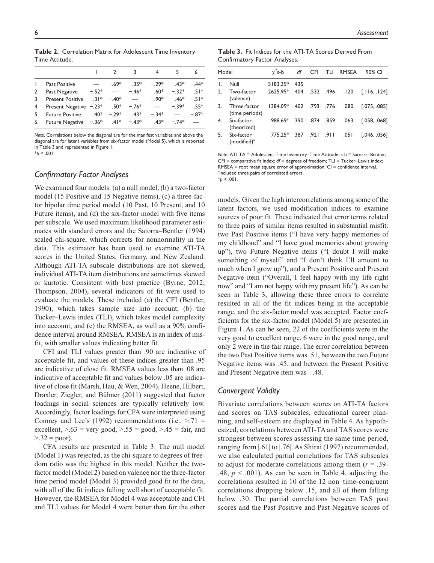|    |                                          |        |               | 3       |        | 5       | 6      |
|----|------------------------------------------|--------|---------------|---------|--------|---------|--------|
| Ι. | <b>Past Positive</b>                     |        | $-69*$        | $35*$   | $-29*$ | $.43*$  | $-44*$ |
| 2. | Past Negative                            | $-52*$ |               | $-46*$  | $.60*$ | $-32*$  | $51*$  |
| 3. | <b>Present Positive</b>                  |        | $.31* - .40*$ |         | $-90*$ | .46 $*$ | $-51*$ |
| 4. | Present Negative $-0.23$ * .50*          |        |               | $-.76*$ |        | $-39*$  | $.55*$ |
| 5. | <b>Future Positive</b>                   |        | $.40* - .29*$ | $43*$   | $-34*$ |         | $-87*$ |
| 6. | Future Negative $-0.36^*$ .41* $-0.43^*$ |        |               |         | $43*$  | $-74*$  |        |
|    |                                          |        |               |         |        |         |        |

**Table 2.** Correlation Matrix for Adolescent Time Inventory– Time Attitude.

*Note*. Correlations below the diagonal are for the manifest variables and above the diagonal are for latent variables from six-factor model (Model 5), which is reported in Table 3 and represented in Figure 1.  $*_{p}$  < .001.

# *Confirmatory Factor Analyses*

We examined four models: (a) a null model, (b) a two-factor model (15 Positive and 15 Negative items), (c) a three-factor bipolar time period model (10 Past, 10 Present, and 10 Future items), and (d) the six-factor model with five items per subscale. We used maximum likelihood parameter estimates with standard errors and the Satorra–Bentler (1994) scaled chi-square, which corrects for nonnormality in the data. This estimator has been used to examine ATI-TA scores in the United States, Germany, and New Zealand. Although ATI-TA subscale distributions are not skewed, individual ATI-TA item distributions are sometimes skewed or kurtotic. Consistent with best practice (Byrne, 2012; Thompson, 2004), several indicators of fit were used to evaluate the models. These included (a) the CFI (Bentler, 1990), which takes sample size into account; (b) the Tucker–Lewis index (TLI), which takes model complexity into account; and (c) the RMSEA, as well as a 90% confidence interval around RMSEA. RMSEA is an index of misfit, with smaller values indicating better fit.

CFI and TLI values greater than .90 are indicative of acceptable fit, and values of these indices greater than .95 are indicative of close fit. RMSEA values less than .08 are indicative of acceptable fit and values below .05 are indicative of close fit (Marsh, Hau, & Wen, 2004). Heene, Hilbert, Draxler, Ziegler, and Bühner (2011) suggested that factor loadings in social sciences are typically relatively low. Accordingly, factor loadings for CFA were interpreted using Comrey and Lee's (1992) recommendations (i.e.,  $> 71$  = excellent,  $> 63$  = very good,  $> 55$  = good,  $> 45$  = fair, and  $> 0.32$  = poor).

CFA results are presented in Table 3. The null model (Model 1) was rejected, as the chi-square to degrees of freedom ratio was the highest in this model. Neither the twofactor model (Model 2) based on valence nor the three-factor time period model (Model 3) provided good fit to the data, with all of the fit indices falling well short of acceptable fit. However, the RMSEA for Model 4 was acceptable and CFI and TLI values for Model 4 were better than for the other

**Table 3.** Fit Indices for the ATI-TA Scores Derived From Confirmatory Factor Analyses.

| Model        |                                | $\gamma^2$ s-b |     |               | df CFI TLI RMSEA   | 90% CI                    |
|--------------|--------------------------------|----------------|-----|---------------|--------------------|---------------------------|
| $\mathsf{L}$ | Null                           | 5183.35*       | 435 |               |                    |                           |
| 2.           | Two-factor<br>(valence)        | 2625.95*       | 404 |               |                    | [116, 124] 120. 496. 532. |
| 3.           | Three-factor<br>(time periods) | 1384.09*       |     | 402 .793 .776 | .080               | [.075, .085]              |
| 4.           | Six-factor<br>(theorized)      | 988.69*        | 390 | .874 .859     | .063               | [.058, .068]              |
| 5.           | Six-factor<br>$(modified)^{a}$ | 775.25*        |     |               | 387 .921 .911 .051 | [.046, .056]              |
|              |                                |                |     |               |                    |                           |

*Note*. ATI-TA = Adolescent Time Inventory–Time Attitude; s-b = Satorra–Bentler; CFI = comparative fit index; *df* = degrees of freedom; TLI = Tucker–Lewis index; RMSEA = root mean square error of approximation; CI = confidence interval. <sup>a</sup>Included three pairs of correlated errors.

\**p* < .001.

models. Given the high intercorrelations among some of the latent factors, we used modification indices to examine sources of poor fit. These indicated that error terms related to three pairs of similar items resulted in substantial misfit: two Past Positive items ("I have very happy memories of my childhood" and "I have good memories about growing up"), two Future Negative items ("I doubt I will make something of myself" and "I don't think I'll amount to much when I grow up"), and a Present Positive and Present Negative item ("Overall, I feel happy with my life right now" and "I am not happy with my present life"). As can be seen in Table 3, allowing these three errors to correlate resulted in all of the fit indices being in the acceptable range, and the six-factor model was accepted. Factor coefficients for the six-factor model (Model 5) are presented in Figure 1. As can be seen, 22 of the coefficients were in the very good to excellent range, 6 were in the good range, and only 2 were in the fair range. The error correlation between the two Past Positive items was .51, between the two Future Negative items was .45, and between the Present Positive and Present Negative item was −.48.

# *Convergent Validity*

Bivariate correlations between scores on ATI-TA factors and scores on TAS subscales, educational career planning, and self-esteem are displayed in Table 4. As hypothesized, correlations between ATI-TA and TAS scores were strongest between scores assessing the same time period, ranging from |.61| to |.76|. As Shirai (1997) recommended, we also calculated partial correlations for TAS subscales to adjust for moderate correlations among them (*r* = .39- .48,  $p < .001$ ). As can be seen in Table 4, adjusting the correlations resulted in 10 of the 12 non–time-congruent correlations dropping below .15, and all of them falling below .30. The partial correlations between TAS past scores and the Past Positive and Past Negative scores of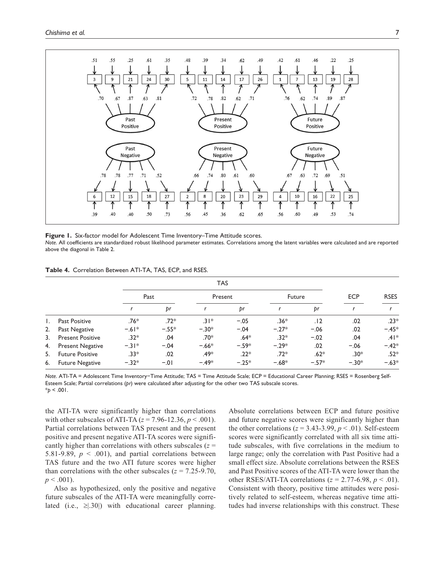

**Figure 1.** Six-factor model for Adolescent Time Inventory–Time Attitude scores. *Note*. All coefficients are standardized robust likelihood parameter estimates. Correlations among the latent variables were calculated and are reported above the diagonal in Table 2.

|  | Table 4. Correlation Between ATI-TA, TAS, ECP, and RSES. |  |  |  |  |  |
|--|----------------------------------------------------------|--|--|--|--|--|
|--|----------------------------------------------------------|--|--|--|--|--|

|    |                         |         | <b>TAS</b> |         |         |         |         |            |             |
|----|-------------------------|---------|------------|---------|---------|---------|---------|------------|-------------|
|    |                         | Past    |            | Present |         | Future  |         | <b>ECP</b> | <b>RSES</b> |
|    |                         |         | þr         |         | þr      |         | þr      |            |             |
| Ι. | <b>Past Positive</b>    | $.76*$  | $.72*$     | $.31*$  | $-.05$  | $.36*$  | .12     | .02        | $.23*$      |
| 2. | Past Negative           | $-.61*$ | $-.55*$    | $-.30*$ | $-.04$  | $-.27*$ | $-.06$  | .02        | $-.45*$     |
| 3. | <b>Present Positive</b> | $.32*$  | .04        | $.70*$  | $.64*$  | $.32*$  | $-.02$  | .04        | $.41*$      |
| 4. | <b>Present Negative</b> | $-31*$  | $-.04$     | $-.66*$ | $-.59*$ | $-.29*$ | .02     | $-.06$     | $-.42*$     |
| 5. | <b>Future Positive</b>  | $.33*$  | .02        | .49*    | $.22*$  | $.72*$  | $.62*$  | .30*       | $.52*$      |
| 6. | <b>Future Negative</b>  | $-.32*$ | $-.01$     | $-.49*$ | $-.25*$ | $-.68*$ | $-.57*$ | $-.30*$    | $-.63*$     |

*Note*. ATI-TA = Adolescent Time Inventory−Time Attitude; TAS = Time Attitude Scale; ECP = Educational Career Planning; RSES = Rosenberg Self-Esteem Scale; Partial correlations (*pr*) were calculated after adjusting for the other two TAS subscale scores.  $*_{p}$  < .001.

the ATI-TA were significantly higher than correlations with other subscales of ATI-TA  $(z = 7.96 - 12.36, p < .001)$ . Partial correlations between TAS present and the present positive and present negative ATI-TA scores were significantly higher than correlations with others subscales (*z* = 5.81-9.89,  $p < .001$ ), and partial correlations between TAS future and the two ATI future scores were higher than correlations with the other subscales ( $z = 7.25$ -9.70,  $p < .001$ ).

Also as hypothesized, only the positive and negative future subscales of the ATI-TA were meaningfully correlated (i.e.,  $\geq$ |.30|) with educational career planning.

Absolute correlations between ECP and future positive and future negative scores were significantly higher than the other correlations ( $z = 3.43 - 3.99$ ,  $p < .01$ ). Self-esteem scores were significantly correlated with all six time attitude subscales, with five correlations in the medium to large range; only the correlation with Past Positive had a small effect size. Absolute correlations between the RSES and Past Positive scores of the ATI-TA were lower than the other RSES/ATI-TA correlations ( $z = 2.77-6.98$ ,  $p < .01$ ). Consistent with theory, positive time attitudes were positively related to self-esteem, whereas negative time attitudes had inverse relationships with this construct. These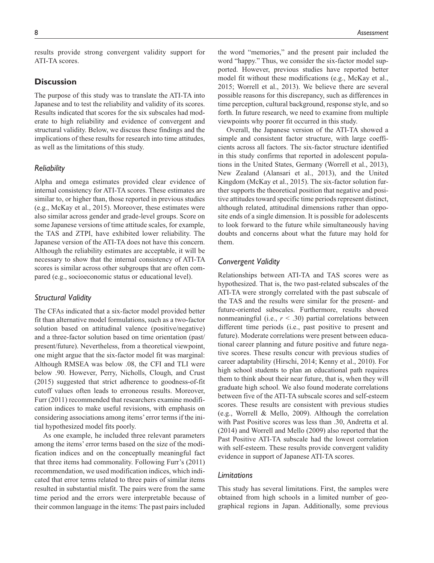results provide strong convergent validity support for ATI-TA scores.

# **Discussion**

The purpose of this study was to translate the ATI-TA into Japanese and to test the reliability and validity of its scores. Results indicated that scores for the six subscales had moderate to high reliability and evidence of convergent and structural validity. Below, we discuss these findings and the implications of these results for research into time attitudes, as well as the limitations of this study.

#### *Reliability*

Alpha and omega estimates provided clear evidence of internal consistency for ATI-TA scores. These estimates are similar to, or higher than, those reported in previous studies (e.g., McKay et al., 2015). Moreover, these estimates were also similar across gender and grade-level groups. Score on some Japanese versions of time attitude scales, for example, the TAS and ZTPI, have exhibited lower reliability. The Japanese version of the ATI-TA does not have this concern. Although the reliability estimates are acceptable, it will be necessary to show that the internal consistency of ATI-TA scores is similar across other subgroups that are often compared (e.g., socioeconomic status or educational level).

# *Structural Validity*

The CFAs indicated that a six-factor model provided better fit than alternative model formulations, such as a two-factor solution based on attitudinal valence (positive/negative) and a three-factor solution based on time orientation (past/ present/future). Nevertheless, from a theoretical viewpoint, one might argue that the six-factor model fit was marginal: Although RMSEA was below .08, the CFI and TLI were below .90. However, Perry, Nicholls, Clough, and Crust (2015) suggested that strict adherence to goodness-of-fit cutoff values often leads to erroneous results. Moreover, Furr (2011) recommended that researchers examine modification indices to make useful revisions, with emphasis on considering associations among items' error terms if the initial hypothesized model fits poorly.

As one example, he included three relevant parameters among the items' error terms based on the size of the modification indices and on the conceptually meaningful fact that three items had commonality. Following Furr's (2011) recommendation, we used modification indices, which indicated that error terms related to three pairs of similar items resulted in substantial misfit. The pairs were from the same time period and the errors were interpretable because of their common language in the items: The past pairs included

the word "memories," and the present pair included the word "happy." Thus, we consider the six-factor model supported. However, previous studies have reported better model fit without these modifications (e.g., McKay et al., 2015; Worrell et al., 2013). We believe there are several possible reasons for this discrepancy, such as differences in time perception, cultural background, response style, and so forth. In future research, we need to examine from multiple viewpoints why poorer fit occurred in this study.

Overall, the Japanese version of the ATI-TA showed a simple and consistent factor structure, with large coefficients across all factors. The six-factor structure identified in this study confirms that reported in adolescent populations in the United States, Germany (Worrell et al., 2013), New Zealand (Alansari et al., 2013), and the United Kingdom (McKay et al., 2015). The six-factor solution further supports the theoretical position that negative and positive attitudes toward specific time periods represent distinct, although related, attitudinal dimensions rather than opposite ends of a single dimension. It is possible for adolescents to look forward to the future while simultaneously having doubts and concerns about what the future may hold for them.

# *Convergent Validity*

Relationships between ATI-TA and TAS scores were as hypothesized. That is, the two past-related subscales of the ATI-TA were strongly correlated with the past subscale of the TAS and the results were similar for the present- and future-oriented subscales. Furthermore, results showed nonmeaningful (i.e.,  $r < .30$ ) partial correlations between different time periods (i.e., past positive to present and future). Moderate correlations were present between educational career planning and future positive and future negative scores. These results concur with previous studies of career adaptability (Hirschi, 2014; Kenny et al., 2010). For high school students to plan an educational path requires them to think about their near future, that is, when they will graduate high school. We also found moderate correlations between five of the ATI-TA subscale scores and self-esteem scores. These results are consistent with previous studies (e.g., Worrell & Mello, 2009). Although the correlation with Past Positive scores was less than .30, Andretta et al. (2014) and Worrell and Mello (2009) also reported that the Past Positive ATI-TA subscale had the lowest correlation with self-esteem. These results provide convergent validity evidence in support of Japanese ATI-TA scores.

#### *Limitations*

This study has several limitations. First, the samples were obtained from high schools in a limited number of geographical regions in Japan. Additionally, some previous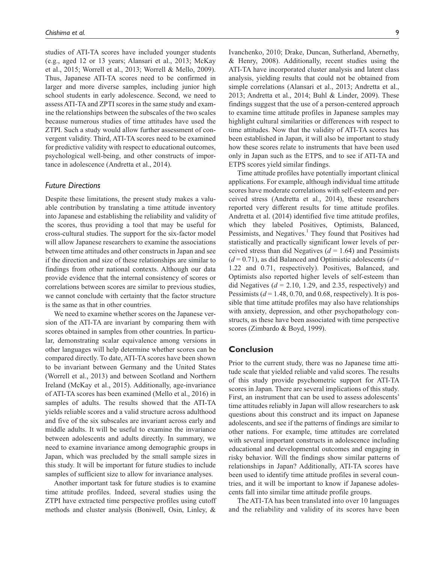studies of ATI-TA scores have included younger students (e.g., aged 12 or 13 years; Alansari et al., 2013; McKay et al., 2015; Worrell et al., 2013; Worrell & Mello, 2009). Thus, Japanese ATI-TA scores need to be confirmed in larger and more diverse samples, including junior high school students in early adolescence. Second, we need to assess ATI-TA and ZPTI scores in the same study and examine the relationships between the subscales of the two scales because numerous studies of time attitudes have used the ZTPI. Such a study would allow further assessment of convergent validity. Third, ATI-TA scores need to be examined for predictive validity with respect to educational outcomes, psychological well-being, and other constructs of importance in adolescence (Andretta et al., 2014).

#### *Future Directions*

Despite these limitations, the present study makes a valuable contribution by translating a time attitude inventory into Japanese and establishing the reliability and validity of the scores, thus providing a tool that may be useful for cross-cultural studies. The support for the six-factor model will allow Japanese researchers to examine the associations between time attitudes and other constructs in Japan and see if the direction and size of these relationships are similar to findings from other national contexts. Although our data provide evidence that the internal consistency of scores or correlations between scores are similar to previous studies, we cannot conclude with certainty that the factor structure is the same as that in other countries.

We need to examine whether scores on the Japanese version of the ATI-TA are invariant by comparing them with scores obtained in samples from other countries. In particular, demonstrating scalar equivalence among versions in other languages will help determine whether scores can be compared directly. To date, ATI-TA scores have been shown to be invariant between Germany and the United States (Worrell et al., 2013) and between Scotland and Northern Ireland (McKay et al., 2015). Additionally, age-invariance of ATI-TA scores has been examined (Mello et al., 2016) in samples of adults. The results showed that the ATI-TA yields reliable scores and a valid structure across adulthood and five of the six subscales are invariant across early and middle adults. It will be useful to examine the invariance between adolescents and adults directly. In summary, we need to examine invariance among demographic groups in Japan, which was precluded by the small sample sizes in this study. It will be important for future studies to include samples of sufficient size to allow for invariance analyses.

Another important task for future studies is to examine time attitude profiles. Indeed, several studies using the ZTPI have extracted time perspective profiles using cutoff methods and cluster analysis (Boniwell, Osin, Linley, &

Ivanchenko, 2010; Drake, Duncan, Sutherland, Abernethy, & Henry, 2008). Additionally, recent studies using the ATI-TA have incorporated cluster analysis and latent class analysis, yielding results that could not be obtained from simple correlations (Alansari et al., 2013; Andretta et al., 2013; Andretta et al., 2014; Buhl & Linder, 2009). These findings suggest that the use of a person-centered approach to examine time attitude profiles in Japanese samples may highlight cultural similarities or differences with respect to time attitudes. Now that the validity of ATI-TA scores has been established in Japan, it will also be important to study how these scores relate to instruments that have been used only in Japan such as the ETPS, and to see if ATI-TA and ETPS scores yield similar findings.

Time attitude profiles have potentially important clinical applications. For example, although individual time attitude scores have moderate correlations with self-esteem and perceived stress (Andretta et al., 2014), these researchers reported very different results for time attitude profiles. Andretta et al. (2014) identified five time attitude profiles, which they labeled Positives, Optimists, Balanced, Pessimists, and Negatives.<sup>1</sup> They found that Positives had statistically and practically significant lower levels of perceived stress than did Negatives (*d* = 1.64) and Pessimists  $(d = 0.71)$ , as did Balanced and Optimistic adolescents  $(d = 1.71)$ 1.22 and 0.71, respectively). Positives, Balanced, and Optimists also reported higher levels of self-esteem than did Negatives  $(d = 2.10, 1.29,$  and 2.35, respectively) and Pessimists  $(d = 1.48, 0.70,$  and 0.68, respectively). It is possible that time attitude profiles may also have relationships with anxiety, depression, and other psychopathology constructs, as these have been associated with time perspective scores (Zimbardo & Boyd, 1999).

# **Conclusion**

Prior to the current study, there was no Japanese time attitude scale that yielded reliable and valid scores. The results of this study provide psychometric support for ATI-TA scores in Japan. There are several implications of this study. First, an instrument that can be used to assess adolescents' time attitudes reliably in Japan will allow researchers to ask questions about this construct and its impact on Japanese adolescents, and see if the patterns of findings are similar to other nations. For example, time attitudes are correlated with several important constructs in adolescence including educational and developmental outcomes and engaging in risky behavior. Will the findings show similar patterns of relationships in Japan? Additionally, ATI-TA scores have been used to identify time attitude profiles in several countries, and it will be important to know if Japanese adolescents fall into similar time attitude profile groups.

The ATI-TA has been translated into over 10 languages and the reliability and validity of its scores have been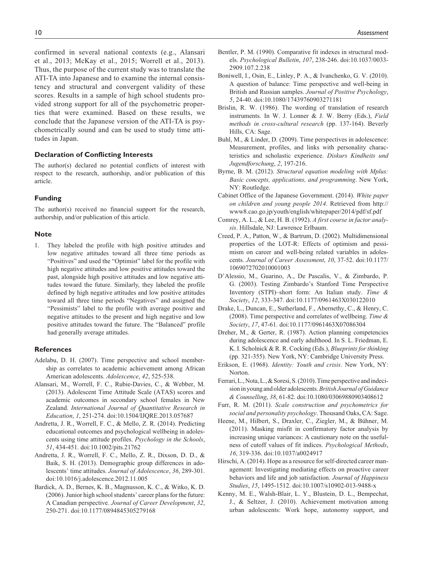confirmed in several national contexts (e.g., Alansari et al., 2013; McKay et al., 2015; Worrell et al., 2013). Thus, the purpose of the current study was to translate the ATI-TA into Japanese and to examine the internal consistency and structural and convergent validity of these scores. Results in a sample of high school students provided strong support for all of the psychometric properties that were examined. Based on these results, we conclude that the Japanese version of the ATI-TA is psychometrically sound and can be used to study time attitudes in Japan.

# **Declaration of Conflicting Interests**

The author(s) declared no potential conflicts of interest with respect to the research, authorship, and/or publication of this article.

#### **Funding**

The author(s) received no financial support for the research, authorship, and/or publication of this article.

#### **Note**

1. They labeled the profile with high positive attitudes and low negative attitudes toward all three time periods as "Positives" and used the "Optimist" label for the profile with high negative attitudes and low positive attitudes toward the past, alongside high positive attitudes and low negative attitudes toward the future. Similarly, they labeled the profile defined by high negative attitudes and low positive attitudes toward all three time periods "Negatives" and assigned the "Pessimists" label to the profile with average positive and negative attitudes to the present and high negative and low positive attitudes toward the future. The "Balanced" profile had generally average attitudes.

#### **References**

- Adelabu, D. H. (2007). Time perspective and school membership as correlates to academic achievement among African American adolescents. *Adolescence*, *42*, 525-538.
- Alansari, M., Worrell, F. C., Rubie-Davies, C., & Webber, M. (2013). Adolescent Time Attitude Scale (ATAS) scores and academic outcomes in secondary school females in New Zealand. *International Journal of Quantitative Research in Education*, *1*, 251-274. doi:10.1504/IJQRE.2013.057687
- Andretta, J. R., Worrell, F. C., & Mello, Z. R. (2014). Predicting educational outcomes and psychological wellbeing in adolescents using time attitude profiles. *Psychology in the Schools*, *51*, 434-451. doi:10.1002/pits.21762
- Andretta, J. R., Worrell, F. C., Mello, Z. R., Dixson, D. D., & Baik, S. H. (2013). Demographic group differences in adolescents' time attitudes. *Journal of Adolescence*, *36*, 289-301. doi:10.1016/j.adolescence.2012.11.005
- Bardick, A. D., Bernes, K. B., Magnusson, K. C., & Witko, K. D. (2006). Junior high school students' career plans for the future: A Canadian perspective. *Journal of Career Development*, *32*, 250-271. doi:10.1177/0894845305279168
- Bentler, P. M. (1990). Comparative fit indexes in structural models. *Psychological Bulletin*, *107*, 238-246. doi:10.1037/0033- 2909.107.2.238
- Boniwell, I., Osin, E., Linley, P. A., & Ivanchenko, G. V. (2010). A question of balance: Time perspective and well-being in British and Russian samples. *Journal of Positive Psychology*, *5*, 24-40. doi:10.1080/17439760903271181
- Brislin, R. W. (1986). The wording of translation of research instruments. In W. J. Lonner & J. W. Berry (Eds.), *Field methods in cross-cultural research* (pp. 137-164). Beverly Hills, CA: Sage.
- Buhl, M., & Linder, D. (2009). Time perspectives in adolescence: Measurement, profiles, and links with personality characteristics and scholastic experience. *Diskurs Kindheits und Jugendforschung*, *2*, 197-216.
- Byrne, B. M. (2012). *Structural equation modeling with Mplus: Basic concepts, applications, and programming*. New York, NY: Routledge.
- Cabinet Office of the Japanese Government. (2014). *White paper on children and young people 2014*. Retrieved from [http://](http://www8.cao.go.jp/youth/english/whitepaper/2014/pdf/sf.pdf) [www8.cao.go.jp/youth/english/whitepaper/2014/pdf/sf.pdf](http://www8.cao.go.jp/youth/english/whitepaper/2014/pdf/sf.pdf)
- Comrey, A. L., & Lee, H. B. (1992). *A first course in factor analysis*. Hillsdale, NJ: Lawrence Erlbaum.
- Creed, P. A., Patton, W., & Bartrum, D. (2002). Multidimensional properties of the LOT-R: Effects of optimism and pessimism on career and well-being related variables in adolescents. *Journal of Career Assessment*, *10*, 37-52. doi:10.1177/ 1069072702010001003
- D'Alessio, M., Guarino, A., De Pascalis, V., & Zimbardo, P. G. (2003). Testing Zimbardo's Stanford Time Perspective Inventory (STPI)–short form: An Italian study. *Time & Society*, *12*, 333-347. doi:10.1177/0961463X030122010
- Drake, L., Duncan, E., Sutherland, F., Abernethy, C., & Henry, C. (2008). Time perspective and correlates of wellbeing. *Time & Society*, *17*, 47-61. doi:10.1177/0961463X07086304
- Dreher, M., & Gerter, R. (1987). Action planning competencies during adolescence and early adulthood. In S. L. Friedman, E. K. I. Scholnick & R. R. Cocking (Eds.), *Blueprints for thinking* (pp. 321-355). New York, NY: Cambridge University Press.
- Erikson, E. (1968). *Identity: Youth and crisis*. New York, NY: Norton.
- Ferrari, L., Nota, L., & Soresi, S. (2010). Time perspective and indecision in young and older adolescents. *British Journal of Guidance & Counselling*, *38*, 61-82. doi:10.1080/03069880903408612
- Furr, R. M. (2011). *Scale construction and psychometrics for social and personality psychology*. Thousand Oaks, CA: Sage.
- Heene, M., Hilbert, S., Draxler, C., Ziegler, M., & Bühner, M. (2011). Masking misfit in confirmatory factor analysis by increasing unique variances: A cautionary note on the usefulness of cutoff values of fit indices. *Psychological Methods*, *16*, 319-336. doi:10.1037/a0024917
- Hirschi, A. (2014). Hope as a resource for self-directed career management: Investigating mediating effects on proactive career behaviors and life and job satisfaction. *Journal of Happiness Studies*, *15*, 1495-1512. doi:10.1007/s10902-013-9488-x
- Kenny, M. E., Walsh-Blair, L. Y., Blustein, D. L., Bempechat, J., & Seltzer, J. (2010). Achievement motivation among urban adolescents: Work hope, autonomy support, and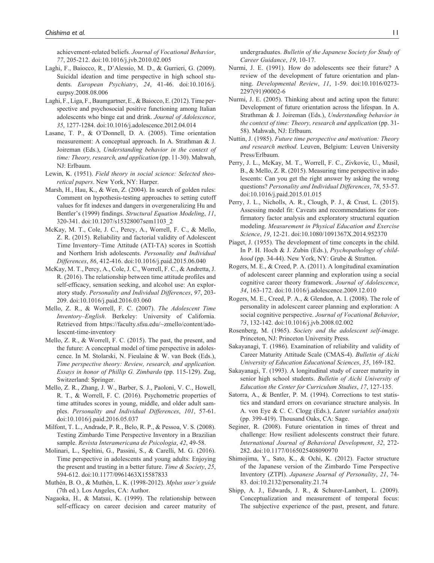achievement-related beliefs. *Journal of Vocational Behavior*, *77*, 205-212. doi:10.1016/j.jvb.2010.02.005

- Laghi, F., Baiocco, R., D'Alessio, M. D., & Gurrieri, G. (2009). Suicidal ideation and time perspective in high school students. *European Psychiatry*, *24*, 41-46. doi:10.1016/j. eurpsy.2008.08.006
- Laghi, F., Liga, F., Baumgartner, E., & Baiocco, E. (2012). Time perspective and psychosocial positive functioning among Italian adolescents who binge eat and drink. *Journal of Adolescence*, *35*, 1277-1284. doi:10.1016/j.adolescence.2012.04.014
- Lasane, T. P., & O'Donnell, D. A. (2005). Time orientation measurement: A conceptual approach. In A. Strathman & J. Joireman (Eds.), *Understanding behavior in the context of time: Theory, research, and application* (pp. 11-30). Mahwah, NJ: Erlbaum.
- Lewin, K. (1951). *Field theory in social science: Selected theoretical papers*. New York, NY: Harper.
- Marsh, H., Hau, K., & Wen, Z. (2004). In search of golden rules: Comment on hypothesis-testing approaches to setting cutoff values for fit indexes and dangers in overgeneralizing Hu and Bentler's (1999) findings. *Structural Equation Modeling*, *11*, 320-341. doi:10.1207/s15328007sem1103\_2
- McKay, M. T., Cole, J. C., Percy, A., Worrell, F. C., & Mello, Z. R. (2015). Reliability and factorial validity of Adolescent Time Inventory–Time Attitude (ATI-TA) scores in Scottish and Northern Irish adolescents. *Personality and Individual Differences*, *86*, 412-416. doi:10.1016/j.paid.2015.06.040
- McKay, M. T., Percy, A., Cole, J. C., Worrell, F. C., & Andretta, J. R. (2016). The relationship between time attitude profiles and self-efficacy, sensation seeking, and alcohol use: An exploratory study. *Personality and Individual Differences*, *97*, 203- 209. doi:10.1016/j.paid.2016.03.060
- Mello, Z. R., & Worrell, F. C. (2007). *The Adolescent Time Inventory–English*. Berkeley: University of California. Retrieved from [https://faculty.sfsu.edu/~zmello/content/ado](https://faculty.sfsu.edu/~zmello/content/adolescent-time-inventory)[lescent-time-inventory](https://faculty.sfsu.edu/~zmello/content/adolescent-time-inventory)
- Mello, Z. R., & Worrell, F. C. (2015). The past, the present, and the future: A conceptual model of time perspective in adolescence. In M. Stolarski, N. Fieulaine & W. van Beek (Eds.), *Time perspective theory: Review, research, and application. Essays in honor of Phillip G. Zimbardo* (pp. 115-129). Zug, Switzerland: Springer.
- Mello, Z. R., Zhang, J. W., Barber, S. J., Paoloni, V. C., Howell, R. T., & Worrell, F. C. (2016). Psychometric properties of time attitudes scores in young, middle, and older adult samples. *Personality and Individual Differences*, *101*, 57-61. doi:10.1016/j.paid.2016.05.037
- Milfont, T. L., Andrade, P. R., Belo, R. P., & Pessoa, V. S. (2008). Testing Zimbardo Time Perspective Inventory in a Brazilian sample. *Revista Interamericana de Psicologia*, *42*, 49-58.
- Molinari, L., Speltini, G., Passini, S., & Carelli, M. G. (2016). Time perspective in adolescents and young adults: Enjoying the present and trusting in a better future. *Time & Society*, *25*, 594-612. doi:10.1177/0961463X15587833
- Muthén, B. O., & Muthén, L. K. (1998-2012). *Mplus user's guide* (7th ed.). Los Angeles, CA: Author.
- Nagaoka, H., & Matsui, K. (1999). The relationship between self-efficacy on career decision and career maturity of

undergraduates. *Bulletin of the Japanese Society for Study of Career Guidance*, *19*, 10-17.

- Nurmi, J. E. (1991). How do adolescents see their future? A review of the development of future orientation and planning. *Developmental Review*, *11*, 1-59. doi:10.1016/0273- 2297(91)90002-6
- Nurmi, J. E. (2005). Thinking about and acting upon the future: Development of future orientation across the lifespan. In A. Strathman & J. Joireman (Eds.), *Understanding behavior in the context of time: Theory, research and application* (pp. 31- 58). Mahwah, NJ: Erlbaum.
- Nuttin, J. (1985). *Future time perspective and motivation: Theory and research method*. Leuven, Belgium: Leuven University Press/Erlbaum.
- Perry, J. L., McKay, M. T., Worrell, F. C., Zivkovic, U., Musil, B., & Mello, Z. R. (2015). Measuring time perspective in adolescents: Can you get the right answer by asking the wrong questions? *Personality and Individual Differences*, *78*, 53-57. doi:10.1016/j.paid.2015.01.015
- Perry, J. L., Nicholls, A. R., Clough, P. J., & Crust, L. (2015). Assessing model fit: Caveats and recommendations for confirmatory factor analysis and exploratory structural equation modeling. *Measurement in Physical Education and Exercise Science*, *19*, 12-21. doi:10.1080/1091367X.2014.952370
- Piaget, J. (1955). The development of time concepts in the child. In P. H. Hoch & J. Zubin (Eds.), *Psychopathology of childhood* (pp. 34-44). New York, NY: Grube & Stratton.
- Rogers, M. E., & Creed, P. A. (2011). A longitudinal examination of adolescent career planning and exploration using a social cognitive career theory framework. *Journal of Adolescence*, *34*, 163-172. doi:10.1016/j.adolescence.2009.12.010
- Rogers, M. E., Creed, P. A., & Glendon, A. I. (2008). The role of personality in adolescent career planning and exploration: A social cognitive perspective. *Journal of Vocational Behavior*, *73*, 132-142. doi:10.1016/j.jvb.2008.02.002
- Rosenberg, M. (1965). *Society and the adolescent self-image*. Princeton, NJ: Princeton University Press.
- Sakayanagi, T. (1986). Examination of reliability and validity of Career Maturity Attitude Scale (CMAS-4). *Bulletin of Aichi University of Education Educational Sciences*, *35*, 169-182.
- Sakayanagi, T. (1993). A longitudinal study of career maturity in senior high school students. *Bulletin of Aichi University of Education the Center for Curriculum Studies*, *17*, 127-135.
- Satorra, A., & Bentler, P. M. (1994). Corrections to test statistics and standard errors on covariance structure analysis. In A. von Eye & C. C. Clogg (Eds.), *Latent variables analysis* (pp. 399-419). Thousand Oaks, CA: Sage.
- Seginer, R. (2008). Future orientation in times of threat and challenge: How resilient adolescents construct their future. *International Journal of Behavioral Development*, *32*, 272- 282. doi:10.1177/0165025408090970
- Shimojima, Y., Sato, K., & Ochi, K. (2012). Factor structure of the Japanese version of the Zimbardo Time Perspective Inventory (ZTPI). *Japanese Journal of Personality*, *21*, 74- 83. doi:10.2132/personality.21.74
- Shipp, A. J., Edwards, J. R., & Schurer-Lambert, L. (2009). Conceptualization and measurement of temporal focus: The subjective experience of the past, present, and future.